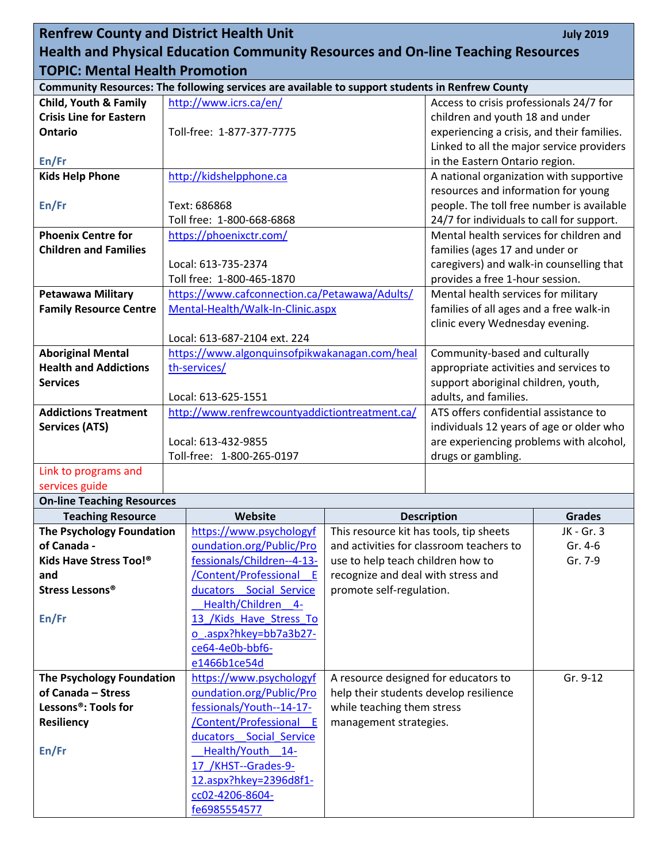| <b>Renfrew County and District Health Unit</b><br><b>July 2019</b>                      |  |                                                                                                 |                                                                         |                                                                                  |                    |  |
|-----------------------------------------------------------------------------------------|--|-------------------------------------------------------------------------------------------------|-------------------------------------------------------------------------|----------------------------------------------------------------------------------|--------------------|--|
| <b>Health and Physical Education Community Resources and On-line Teaching Resources</b> |  |                                                                                                 |                                                                         |                                                                                  |                    |  |
| <b>TOPIC: Mental Health Promotion</b>                                                   |  |                                                                                                 |                                                                         |                                                                                  |                    |  |
|                                                                                         |  | Community Resources: The following services are available to support students in Renfrew County |                                                                         |                                                                                  |                    |  |
| <b>Child, Youth &amp; Family</b>                                                        |  | http://www.icrs.ca/en/                                                                          |                                                                         | Access to crisis professionals 24/7 for                                          |                    |  |
| <b>Crisis Line for Eastern</b>                                                          |  |                                                                                                 |                                                                         | children and youth 18 and under                                                  |                    |  |
| <b>Ontario</b>                                                                          |  | Toll-free: 1-877-377-7775                                                                       |                                                                         | experiencing a crisis, and their families.                                       |                    |  |
|                                                                                         |  |                                                                                                 |                                                                         | Linked to all the major service providers                                        |                    |  |
| En/Fr<br><b>Kids Help Phone</b>                                                         |  | http://kidshelpphone.ca                                                                         |                                                                         | in the Eastern Ontario region.<br>A national organization with supportive        |                    |  |
|                                                                                         |  |                                                                                                 |                                                                         |                                                                                  |                    |  |
| En/Fr                                                                                   |  | Text: 686868                                                                                    |                                                                         | resources and information for young<br>people. The toll free number is available |                    |  |
|                                                                                         |  | Toll free: 1-800-668-6868                                                                       |                                                                         | 24/7 for individuals to call for support.                                        |                    |  |
| <b>Phoenix Centre for</b>                                                               |  | https://phoenixctr.com/                                                                         |                                                                         | Mental health services for children and                                          |                    |  |
| <b>Children and Families</b>                                                            |  |                                                                                                 |                                                                         | families (ages 17 and under or                                                   |                    |  |
|                                                                                         |  | Local: 613-735-2374                                                                             |                                                                         | caregivers) and walk-in counselling that                                         |                    |  |
|                                                                                         |  | Toll free: 1-800-465-1870                                                                       |                                                                         | provides a free 1-hour session.                                                  |                    |  |
| <b>Petawawa Military</b>                                                                |  | https://www.cafconnection.ca/Petawawa/Adults/                                                   |                                                                         | Mental health services for military                                              |                    |  |
| <b>Family Resource Centre</b>                                                           |  | Mental-Health/Walk-In-Clinic.aspx                                                               |                                                                         | families of all ages and a free walk-in                                          |                    |  |
|                                                                                         |  |                                                                                                 |                                                                         | clinic every Wednesday evening.                                                  |                    |  |
|                                                                                         |  | Local: 613-687-2104 ext. 224                                                                    |                                                                         |                                                                                  |                    |  |
| <b>Aboriginal Mental</b>                                                                |  | https://www.algonquinsofpikwakanagan.com/heal                                                   |                                                                         | Community-based and culturally                                                   |                    |  |
| <b>Health and Addictions</b>                                                            |  | th-services/                                                                                    |                                                                         | appropriate activities and services to                                           |                    |  |
| <b>Services</b>                                                                         |  | Local: 613-625-1551                                                                             |                                                                         | support aboriginal children, youth,<br>adults, and families.                     |                    |  |
| <b>Addictions Treatment</b>                                                             |  | http://www.renfrewcountyaddictiontreatment.ca/                                                  |                                                                         | ATS offers confidential assistance to                                            |                    |  |
| <b>Services (ATS)</b>                                                                   |  |                                                                                                 |                                                                         | individuals 12 years of age or older who                                         |                    |  |
|                                                                                         |  | Local: 613-432-9855                                                                             |                                                                         | are experiencing problems with alcohol,                                          |                    |  |
|                                                                                         |  | Toll-free: 1-800-265-0197                                                                       |                                                                         | drugs or gambling.                                                               |                    |  |
| Link to programs and                                                                    |  |                                                                                                 |                                                                         |                                                                                  |                    |  |
| services guide                                                                          |  |                                                                                                 |                                                                         |                                                                                  |                    |  |
| <b>On-line Teaching Resources</b>                                                       |  |                                                                                                 |                                                                         |                                                                                  |                    |  |
| <b>Teaching Resource</b>                                                                |  | Website                                                                                         |                                                                         | <b>Description</b>                                                               | <b>Grades</b>      |  |
| <b>The Psychology Foundation</b>                                                        |  | https://www.psychologyf                                                                         | This resource kit has tools, tip sheets                                 |                                                                                  | JK - Gr. 3         |  |
| of Canada -<br>Kids Have Stress Too!®                                                   |  | oundation.org/Public/Pro<br>fessionals/Children--4-13-                                          | and activities for classroom teachers to                                |                                                                                  | Gr. 4-6<br>Gr. 7-9 |  |
| and                                                                                     |  | /Content/Professional E                                                                         | use to help teach children how to<br>recognize and deal with stress and |                                                                                  |                    |  |
| Stress Lessons <sup>®</sup>                                                             |  | ducators Social Service                                                                         | promote self-regulation.                                                |                                                                                  |                    |  |
|                                                                                         |  | Health/Children 4-                                                                              |                                                                         |                                                                                  |                    |  |
| En/Fr                                                                                   |  | 13 /Kids Have Stress To                                                                         |                                                                         |                                                                                  |                    |  |
|                                                                                         |  | o .aspx?hkey=bb7a3b27-                                                                          |                                                                         |                                                                                  |                    |  |
|                                                                                         |  | ce64-4e0b-bbf6-                                                                                 |                                                                         |                                                                                  |                    |  |
|                                                                                         |  | e1466b1ce54d                                                                                    |                                                                         |                                                                                  |                    |  |
| The Psychology Foundation                                                               |  | https://www.psychologyf                                                                         | A resource designed for educators to                                    |                                                                                  | Gr. 9-12           |  |
| of Canada - Stress                                                                      |  | oundation.org/Public/Pro                                                                        | help their students develop resilience                                  |                                                                                  |                    |  |
| Lessons®: Tools for                                                                     |  | fessionals/Youth--14-17-                                                                        | while teaching them stress                                              |                                                                                  |                    |  |
| <b>Resiliency</b>                                                                       |  | /Content/Professional E<br>ducators Social Service                                              | management strategies.                                                  |                                                                                  |                    |  |
| En/Fr                                                                                   |  | Health/Youth<br>$14-$                                                                           |                                                                         |                                                                                  |                    |  |
|                                                                                         |  | 17 / KHST--Grades-9-                                                                            |                                                                         |                                                                                  |                    |  |
|                                                                                         |  | 12.aspx?hkey=2396d8f1-                                                                          |                                                                         |                                                                                  |                    |  |
|                                                                                         |  | cc02-4206-8604-                                                                                 |                                                                         |                                                                                  |                    |  |
|                                                                                         |  | fe6985554577                                                                                    |                                                                         |                                                                                  |                    |  |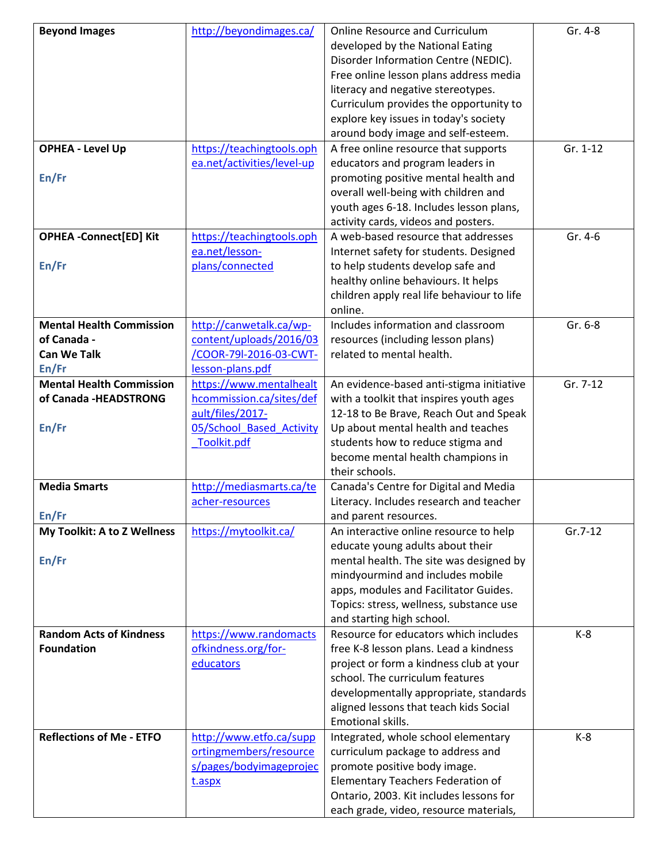| <b>Beyond Images</b>            | http://beyondimages.ca/    | <b>Online Resource and Curriculum</b>      | Gr. 4-8   |
|---------------------------------|----------------------------|--------------------------------------------|-----------|
|                                 |                            | developed by the National Eating           |           |
|                                 |                            | Disorder Information Centre (NEDIC).       |           |
|                                 |                            | Free online lesson plans address media     |           |
|                                 |                            | literacy and negative stereotypes.         |           |
|                                 |                            | Curriculum provides the opportunity to     |           |
|                                 |                            | explore key issues in today's society      |           |
|                                 |                            | around body image and self-esteem.         |           |
| <b>OPHEA - Level Up</b>         | https://teachingtools.oph  | A free online resource that supports       | Gr. 1-12  |
|                                 | ea.net/activities/level-up | educators and program leaders in           |           |
| En/Fr                           |                            | promoting positive mental health and       |           |
|                                 |                            | overall well-being with children and       |           |
|                                 |                            | youth ages 6-18. Includes lesson plans,    |           |
|                                 |                            | activity cards, videos and posters.        |           |
|                                 |                            | A web-based resource that addresses        | Gr. 4-6   |
| <b>OPHEA -Connect[ED] Kit</b>   | https://teachingtools.oph  | Internet safety for students. Designed     |           |
|                                 | ea.net/lesson-             |                                            |           |
| En/Fr                           | plans/connected            | to help students develop safe and          |           |
|                                 |                            | healthy online behaviours. It helps        |           |
|                                 |                            | children apply real life behaviour to life |           |
|                                 |                            | online.                                    |           |
| <b>Mental Health Commission</b> | http://canwetalk.ca/wp-    | Includes information and classroom         | Gr. 6-8   |
| of Canada -                     | content/uploads/2016/03    | resources (including lesson plans)         |           |
| <b>Can We Talk</b>              | /COOR-79l-2016-03-CWT-     | related to mental health.                  |           |
| En/Fr                           | lesson-plans.pdf           |                                            |           |
| <b>Mental Health Commission</b> | https://www.mentalhealt    | An evidence-based anti-stigma initiative   | Gr. 7-12  |
| of Canada -HEADSTRONG           | hcommission.ca/sites/def   | with a toolkit that inspires youth ages    |           |
|                                 | ault/files/2017-           | 12-18 to Be Brave, Reach Out and Speak     |           |
| En/Fr                           | 05/School Based Activity   | Up about mental health and teaches         |           |
|                                 | Toolkit.pdf                | students how to reduce stigma and          |           |
|                                 |                            | become mental health champions in          |           |
|                                 |                            | their schools.                             |           |
| <b>Media Smarts</b>             | http://mediasmarts.ca/te   | Canada's Centre for Digital and Media      |           |
|                                 | acher-resources            | Literacy. Includes research and teacher    |           |
| En/Fr                           |                            | and parent resources.                      |           |
| My Toolkit: A to Z Wellness     | https://mytoolkit.ca/      | An interactive online resource to help     | $Gr.7-12$ |
|                                 |                            | educate young adults about their           |           |
| En/Fr                           |                            | mental health. The site was designed by    |           |
|                                 |                            | mindyourmind and includes mobile           |           |
|                                 |                            | apps, modules and Facilitator Guides.      |           |
|                                 |                            | Topics: stress, wellness, substance use    |           |
|                                 |                            | and starting high school.                  |           |
| <b>Random Acts of Kindness</b>  | https://www.randomacts     | Resource for educators which includes      | $K-8$     |
| <b>Foundation</b>               | ofkindness.org/for-        | free K-8 lesson plans. Lead a kindness     |           |
|                                 | educators                  | project or form a kindness club at your    |           |
|                                 |                            | school. The curriculum features            |           |
|                                 |                            | developmentally appropriate, standards     |           |
|                                 |                            | aligned lessons that teach kids Social     |           |
|                                 |                            | Emotional skills.                          |           |
| <b>Reflections of Me - ETFO</b> | http://www.etfo.ca/supp    | Integrated, whole school elementary        | $K-8$     |
|                                 | ortingmembers/resource     | curriculum package to address and          |           |
|                                 | s/pages/bodyimageprojec    | promote positive body image.               |           |
|                                 | t.aspx                     | <b>Elementary Teachers Federation of</b>   |           |
|                                 |                            | Ontario, 2003. Kit includes lessons for    |           |
|                                 |                            | each grade, video, resource materials,     |           |
|                                 |                            |                                            |           |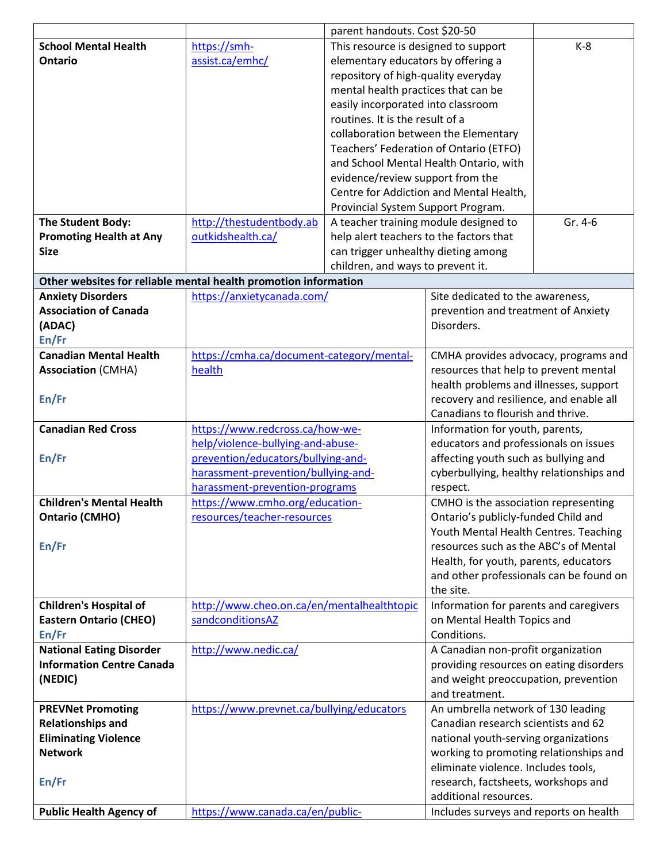|                                                                 |                                                                | parent handouts. Cost \$20-50           |                                                                                  |         |
|-----------------------------------------------------------------|----------------------------------------------------------------|-----------------------------------------|----------------------------------------------------------------------------------|---------|
| <b>School Mental Health</b>                                     | https://smh-                                                   | This resource is designed to support    |                                                                                  | $K-8$   |
| <b>Ontario</b>                                                  | assist.ca/emhc/                                                | elementary educators by offering a      |                                                                                  |         |
|                                                                 |                                                                | repository of high-quality everyday     |                                                                                  |         |
|                                                                 |                                                                | mental health practices that can be     |                                                                                  |         |
|                                                                 |                                                                | easily incorporated into classroom      |                                                                                  |         |
|                                                                 |                                                                | routines. It is the result of a         |                                                                                  |         |
|                                                                 |                                                                |                                         | collaboration between the Elementary                                             |         |
|                                                                 |                                                                |                                         | Teachers' Federation of Ontario (ETFO)                                           |         |
|                                                                 |                                                                |                                         | and School Mental Health Ontario, with                                           |         |
|                                                                 |                                                                | evidence/review support from the        |                                                                                  |         |
|                                                                 |                                                                |                                         | Centre for Addiction and Mental Health,                                          |         |
|                                                                 |                                                                | Provincial System Support Program.      |                                                                                  |         |
| The Student Body:                                               | http://thestudentbody.ab                                       |                                         | A teacher training module designed to                                            | Gr. 4-6 |
| <b>Promoting Health at Any</b>                                  | outkidshealth.ca/                                              | help alert teachers to the factors that |                                                                                  |         |
| <b>Size</b>                                                     |                                                                | can trigger unhealthy dieting among     |                                                                                  |         |
|                                                                 |                                                                | children, and ways to prevent it.       |                                                                                  |         |
| Other websites for reliable mental health promotion information |                                                                |                                         |                                                                                  |         |
| <b>Anxiety Disorders</b>                                        | https://anxietycanada.com/                                     |                                         | Site dedicated to the awareness,                                                 |         |
| <b>Association of Canada</b>                                    |                                                                |                                         | prevention and treatment of Anxiety                                              |         |
| (ADAC)                                                          |                                                                |                                         | Disorders.                                                                       |         |
| En/Fr                                                           |                                                                |                                         |                                                                                  |         |
| <b>Canadian Mental Health</b>                                   | https://cmha.ca/document-category/mental-                      |                                         | CMHA provides advocacy, programs and                                             |         |
| <b>Association (CMHA)</b>                                       | health                                                         |                                         | resources that help to prevent mental                                            |         |
|                                                                 |                                                                |                                         | health problems and illnesses, support                                           |         |
| En/Fr                                                           |                                                                |                                         | recovery and resilience, and enable all                                          |         |
|                                                                 |                                                                |                                         | Canadians to flourish and thrive.                                                |         |
| <b>Canadian Red Cross</b>                                       | https://www.redcross.ca/how-we-                                |                                         | Information for youth, parents,                                                  |         |
|                                                                 | help/violence-bullying-and-abuse-                              |                                         | educators and professionals on issues                                            |         |
| En/Fr                                                           | prevention/educators/bullying-and-                             |                                         | affecting youth such as bullying and                                             |         |
|                                                                 | harassment-prevention/bullying-and-                            |                                         | cyberbullying, healthy relationships and                                         |         |
|                                                                 | harassment-prevention-programs                                 |                                         | respect.                                                                         |         |
| <b>Children's Mental Health</b>                                 | https://www.cmho.org/education-                                |                                         | CMHO is the association representing                                             |         |
| <b>Ontario (CMHO)</b>                                           | resources/teacher-resources                                    |                                         | Ontario's publicly-funded Child and                                              |         |
|                                                                 |                                                                |                                         | Youth Mental Health Centres. Teaching<br>resources such as the ABC's of Mental   |         |
| En/Fr                                                           |                                                                |                                         |                                                                                  |         |
|                                                                 |                                                                |                                         | Health, for youth, parents, educators<br>and other professionals can be found on |         |
|                                                                 |                                                                |                                         | the site.                                                                        |         |
| <b>Children's Hospital of</b>                                   |                                                                |                                         |                                                                                  |         |
| <b>Eastern Ontario (CHEO)</b>                                   | http://www.cheo.on.ca/en/mentalhealthtopic<br>sandconditionsAZ |                                         | Information for parents and caregivers<br>on Mental Health Topics and            |         |
| En/Fr                                                           |                                                                |                                         | Conditions.                                                                      |         |
| <b>National Eating Disorder</b>                                 | http://www.nedic.ca/                                           |                                         | A Canadian non-profit organization                                               |         |
| <b>Information Centre Canada</b>                                |                                                                |                                         | providing resources on eating disorders                                          |         |
| (NEDIC)                                                         |                                                                |                                         | and weight preoccupation, prevention                                             |         |
|                                                                 |                                                                |                                         | and treatment.                                                                   |         |
| <b>PREVNet Promoting</b>                                        | https://www.prevnet.ca/bullying/educators                      |                                         | An umbrella network of 130 leading                                               |         |
| <b>Relationships and</b>                                        |                                                                |                                         | Canadian research scientists and 62                                              |         |
| <b>Eliminating Violence</b>                                     |                                                                |                                         | national youth-serving organizations                                             |         |
| <b>Network</b>                                                  |                                                                |                                         | working to promoting relationships and                                           |         |
|                                                                 |                                                                |                                         | eliminate violence. Includes tools,                                              |         |
| En/Fr                                                           |                                                                |                                         | research, factsheets, workshops and                                              |         |
|                                                                 |                                                                |                                         | additional resources.                                                            |         |
| <b>Public Health Agency of</b>                                  | https://www.canada.ca/en/public-                               |                                         | Includes surveys and reports on health                                           |         |